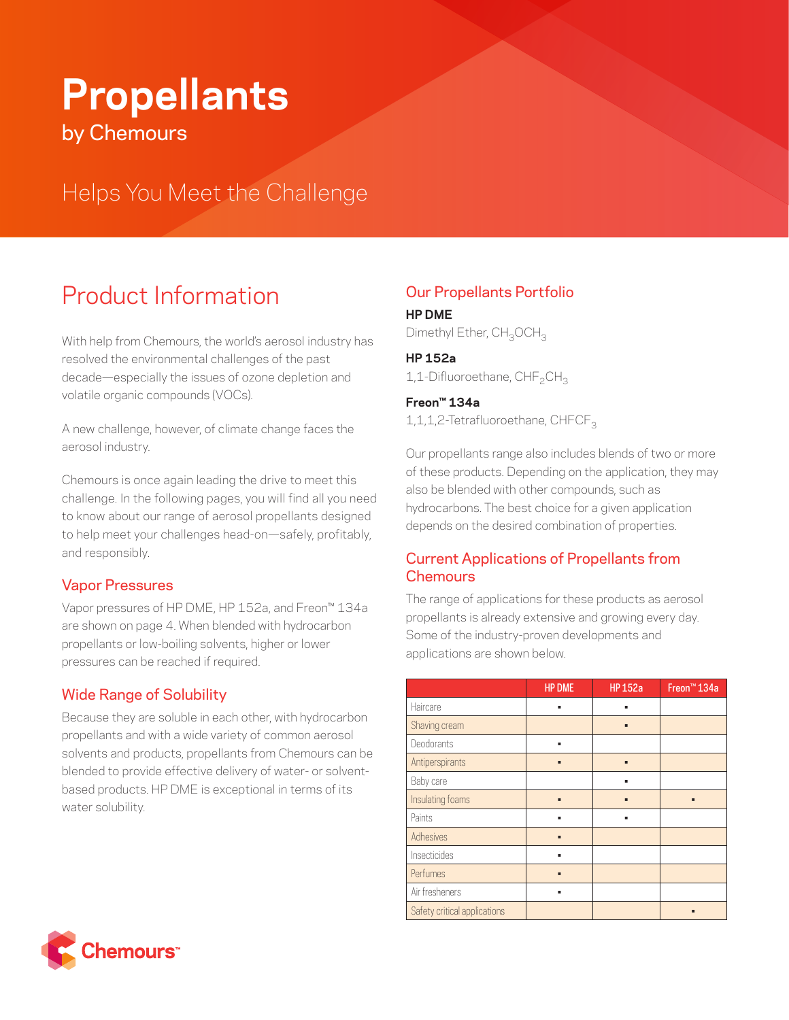# **Propellants** by Chemours

Helps You Meet the Challenge

# Product Information

With help from Chemours, the world's aerosol industry has resolved the environmental challenges of the past decade—especially the issues of ozone depletion and volatile organic compounds (VOCs).

A new challenge, however, of climate change faces the aerosol industry.

Chemours is once again leading the drive to meet this challenge. In the following pages, you will find all you need to know about our range of aerosol propellants designed to help meet your challenges head-on—safely, profitably, and responsibly.

#### Vapor Pressures

Vapor pressures of HP DME, HP 152a, and Freon™ 134a are shown on page 4. When blended with hydrocarbon propellants or low-boiling solvents, higher or lower pressures can be reached if required.

## Wide Range of Solubility

Because they are soluble in each other, with hydrocarbon propellants and with a wide variety of common aerosol solvents and products, propellants from Chemours can be blended to provide effective delivery of water- or solventbased products. HP DME is exceptional in terms of its water solubility.

# Our Propellants Portfolio

**HP DME** Dimethyl Ether, CH<sub>3</sub>OCH<sub>3</sub>

**HP 152a** 1,1-Difluoroethane, CHF<sub>2</sub>CH<sub>3</sub>

**Freon™ 134a** 1,1,1,2-Tetrafluoroethane, CHFCF<sub>3</sub>

Our propellants range also includes blends of two or more of these products. Depending on the application, they may also be blended with other compounds, such as hydrocarbons. The best choice for a given application depends on the desired combination of properties.

## Current Applications of Propellants from **Chemours**

The range of applications for these products as aerosol propellants is already extensive and growing every day. Some of the industry-proven developments and applications are shown below.

|                              | <b>HP DME</b> | <b>HP 152a</b> | Freon <sup>™</sup> 134a |
|------------------------------|---------------|----------------|-------------------------|
| Haircare                     | ٠             | ٠              |                         |
| Shaving cream                |               |                |                         |
| Deodorants                   | ٠             |                |                         |
| Antiperspirants              | п             | п              |                         |
| Baby care                    |               | ٠              |                         |
| Insulating foams             | ▬             | п              | ▪                       |
| Paints                       | ٠             |                |                         |
| Adhesives                    | п             |                |                         |
| Insecticides                 | ٠             |                |                         |
| Perfumes                     | п             |                |                         |
| Air fresheners               |               |                |                         |
| Safety critical applications |               |                |                         |

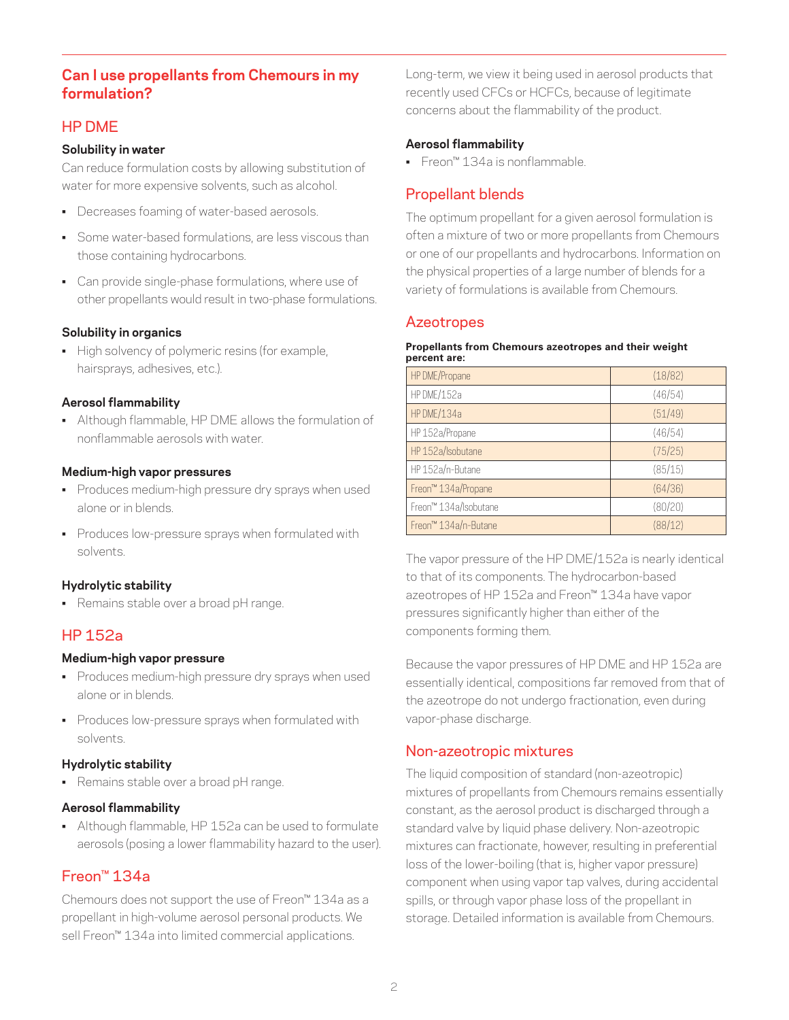#### **Can I use propellants from Chemours in my formulation?**

#### HP DME

#### **Solubility in water**

Can reduce formulation costs by allowing substitution of water for more expensive solvents, such as alcohol.

- Decreases foaming of water-based aerosols.
- Some water-based formulations, are less viscous than those containing hydrocarbons.
- Can provide single-phase formulations, where use of other propellants would result in two-phase formulations.

#### **Solubility in organics**

• High solvency of polymeric resins (for example, hairsprays, adhesives, etc.).

#### **Aerosol flammability**

• Although flammable, HP DME allows the formulation of nonflammable aerosols with water.

#### **Medium-high vapor pressures**

- Produces medium-high pressure dry sprays when used alone or in blends.
- Produces low-pressure sprays when formulated with solvents.

#### **Hydrolytic stability**

• Remains stable over a broad pH range.

## HP 152a

#### **Medium-high vapor pressure**

- Produces medium-high pressure dry sprays when used alone or in blends.
- Produces low-pressure sprays when formulated with solvents.

#### **Hydrolytic stability**

• Remains stable over a broad pH range.

#### **Aerosol flammability**

• Although flammable, HP 152a can be used to formulate aerosols (posing a lower flammability hazard to the user).

# Freon™ 134a

Chemours does not support the use of Freon™ 134a as a propellant in high-volume aerosol personal products. We sell Freon<sup>™</sup> 134a into limited commercial applications.

Long-term, we view it being used in aerosol products that recently used CFCs or HCFCs, because of legitimate concerns about the flammability of the product.

#### **Aerosol flammability**

• Freon™ 134a is nonflammable.

## Propellant blends

The optimum propellant for a given aerosol formulation is often a mixture of two or more propellants from Chemours or one of our propellants and hydrocarbons. Information on the physical properties of a large number of blends for a variety of formulations is available from Chemours.

## **Azeotropes**

#### **Propellants from Chemours azeotropes and their weight percent are:**

| <b>HP DME/Propane</b> | (18/82) |
|-----------------------|---------|
| HP DME/152a           | (46/54) |
| HP DME/134a           | (51/49) |
| HP 152a/Propane       | (46/54) |
| HP 152a/Isobutane     | (75/25) |
| HP 152a/n-Butane      | (85/15) |
| Freon™ 134a/Propane   | (64/36) |
| Freon™ 134a/Isobutane | (80/20) |
| Freon™ 134a/n-Butane  | (88/12) |

The vapor pressure of the HP DME/152a is nearly identical to that of its components. The hydrocarbon-based azeotropes of HP 152a and Freon™ 134a have vapor pressures significantly higher than either of the components forming them.

Because the vapor pressures of HP DME and HP 152a are essentially identical, compositions far removed from that of the azeotrope do not undergo fractionation, even during vapor-phase discharge.

#### Non-azeotropic mixtures

The liquid composition of standard (non-azeotropic) mixtures of propellants from Chemours remains essentially constant, as the aerosol product is discharged through a standard valve by liquid phase delivery. Non-azeotropic mixtures can fractionate, however, resulting in preferential loss of the lower-boiling (that is, higher vapor pressure) component when using vapor tap valves, during accidental spills, or through vapor phase loss of the propellant in storage. Detailed information is available from Chemours.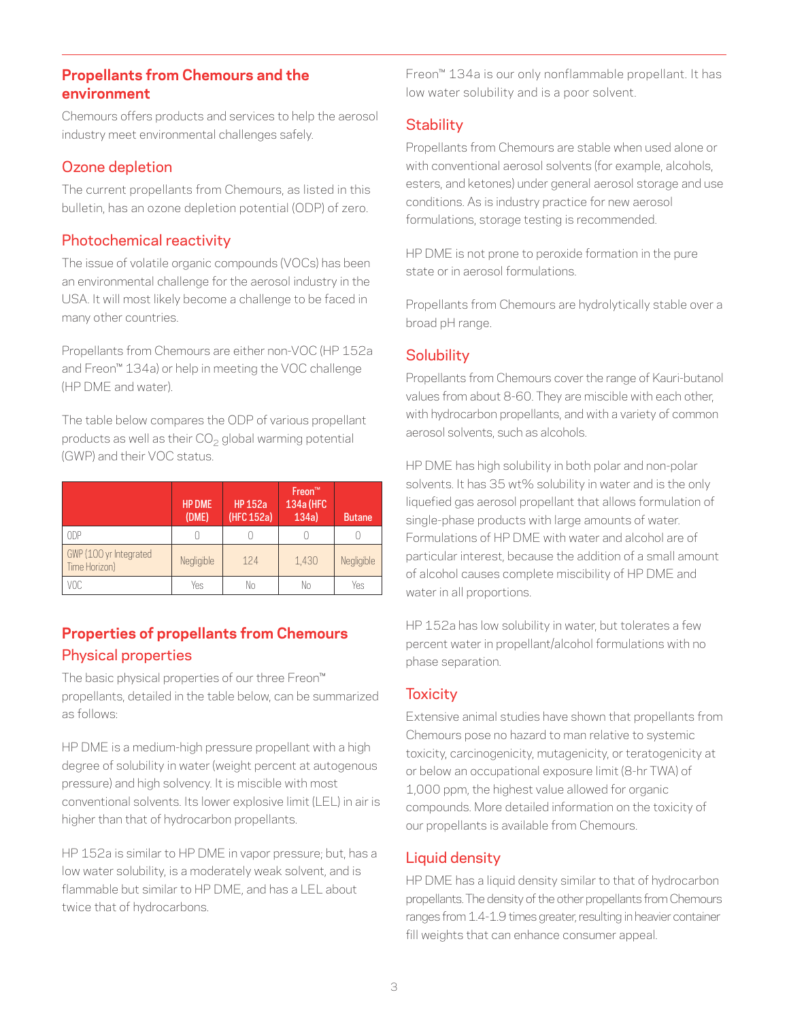## **Propellants from Chemours and the environment**

Chemours offers products and services to help the aerosol industry meet environmental challenges safely.

## Ozone depletion

The current propellants from Chemours, as listed in this bulletin, has an ozone depletion potential (ODP) of zero.

# Photochemical reactivity

The issue of volatile organic compounds (VOCs) has been an environmental challenge for the aerosol industry in the USA. It will most likely become a challenge to be faced in many other countries.

Propellants from Chemours are either non-VOC (HP 152a and Freon™ 134a) or help in meeting the VOC challenge (HP DME and water).

The table below compares the ODP of various propellant products as well as their  $CO<sub>2</sub>$  global warming potential (GWP) and their VOC status.

|                                         | <b>HP DME</b><br>(DME) | <b>HP 152a</b><br>(HFC 152a) | Freon <sup>™</sup><br>134a (HFC<br>134a | <b>Butane</b> |
|-----------------------------------------|------------------------|------------------------------|-----------------------------------------|---------------|
| ODP                                     |                        |                              |                                         |               |
| GWP (100 yr Integrated<br>Time Horizon) | Negligible             | 124                          | 1,430                                   | Negligible    |
| VOC                                     | Yes                    | No                           | No                                      | Yes           |

# **Properties of propellants from Chemours** Physical properties

The basic physical properties of our three Freon™ propellants, detailed in the table below, can be summarized as follows:

HP DME is a medium-high pressure propellant with a high degree of solubility in water (weight percent at autogenous pressure) and high solvency. It is miscible with most conventional solvents. Its lower explosive limit (LEL) in air is higher than that of hydrocarbon propellants.

HP 152a is similar to HP DME in vapor pressure; but, has a low water solubility, is a moderately weak solvent, and is flammable but similar to HP DME, and has a LEL about twice that of hydrocarbons.

Freon™ 134a is our only nonflammable propellant. It has low water solubility and is a poor solvent.

# **Stability**

Propellants from Chemours are stable when used alone or with conventional aerosol solvents (for example, alcohols, esters, and ketones) under general aerosol storage and use conditions. As is industry practice for new aerosol formulations, storage testing is recommended.

HP DME is not prone to peroxide formation in the pure state or in aerosol formulations.

Propellants from Chemours are hydrolytically stable over a broad pH range.

# **Solubility**

Propellants from Chemours cover the range of Kauri-butanol values from about 8-60. They are miscible with each other, with hydrocarbon propellants, and with a variety of common aerosol solvents, such as alcohols.

HP DME has high solubility in both polar and non-polar solvents. It has 35 wt% solubility in water and is the only liquefied gas aerosol propellant that allows formulation of single-phase products with large amounts of water. Formulations of HP DME with water and alcohol are of particular interest, because the addition of a small amount of alcohol causes complete miscibility of HP DME and water in all proportions.

HP 152a has low solubility in water, but tolerates a few percent water in propellant/alcohol formulations with no phase separation.

# **Toxicity**

Extensive animal studies have shown that propellants from Chemours pose no hazard to man relative to systemic toxicity, carcinogenicity, mutagenicity, or teratogenicity at or below an occupational exposure limit (8-hr TWA) of 1,000 ppm, the highest value allowed for organic compounds. More detailed information on the toxicity of our propellants is available from Chemours.

# Liquid density

HP DME has a liquid density similar to that of hydrocarbon propellants. The density of the other propellants from Chemours ranges from 1.4-1.9 times greater, resulting in heavier container fill weights that can enhance consumer appeal.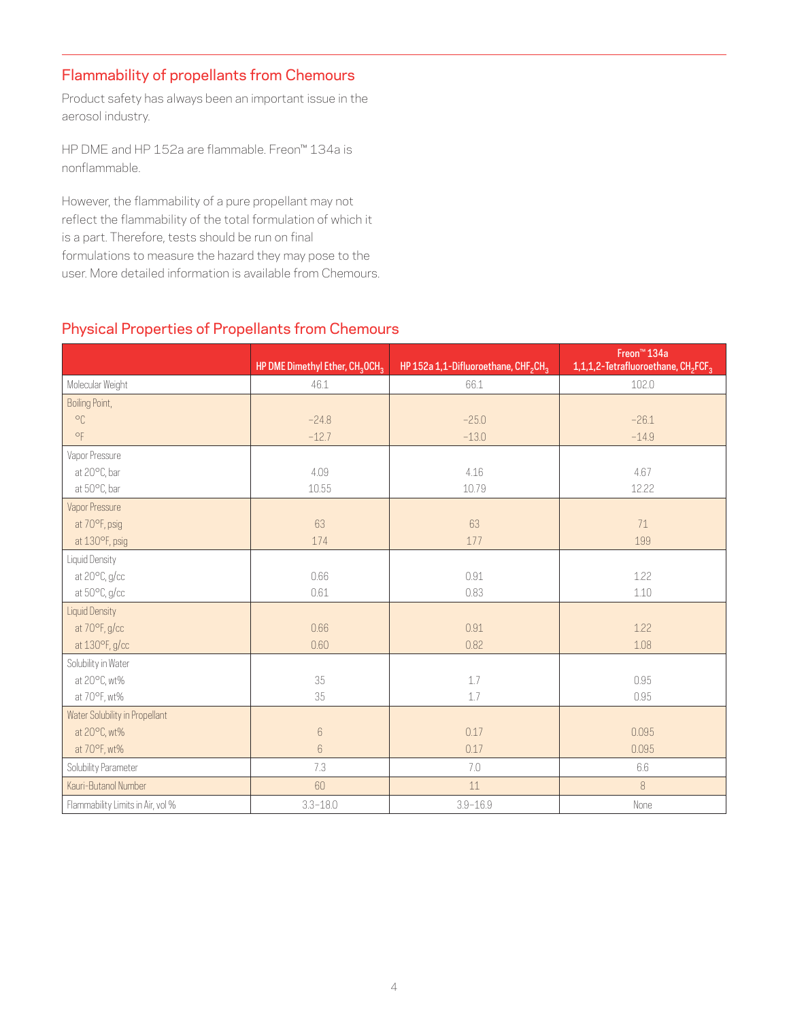# Flammability of propellants from Chemours

Product safety has always been an important issue in the aerosol industry.

HP DME and HP 152a are flammable. Freon™ 134a is nonflammable.

However, the flammability of a pure propellant may not reflect the flammability of the total formulation of which it is a part. Therefore, tests should be run on final formulations to measure the hazard they may pose to the user. More detailed information is available from Chemours.

# Physical Properties of Propellants from Chemours

|                                   | HP DME Dimethyl Ether, CH <sub>3</sub> OCH <sub>3</sub> | HP 152a 1,1-Difluoroethane, CHF <sub>2</sub> CH <sub>3</sub> | Freon <sup>™</sup> 134a<br>1,1,1,2-Tetrafluoroethane, CH <sub>2</sub> FCF <sub>3</sub> |
|-----------------------------------|---------------------------------------------------------|--------------------------------------------------------------|----------------------------------------------------------------------------------------|
| Molecular Weight                  | 46.1                                                    | 66.1                                                         | 102.0                                                                                  |
| <b>Boiling Point,</b>             |                                                         |                                                              |                                                                                        |
| $\circ$ C                         | $-24.8$                                                 | $-25.0$                                                      | $-26.1$                                                                                |
| $^{\circ}$ F                      | $-12.7$                                                 | $-13.0$                                                      | $-14.9$                                                                                |
| Vapor Pressure                    |                                                         |                                                              |                                                                                        |
| at 20°C, bar                      | 4.09                                                    | 4.16                                                         | 4.67                                                                                   |
| at 50°C, bar                      | 10.55                                                   | 10.79                                                        | 12.22                                                                                  |
| Vapor Pressure                    |                                                         |                                                              |                                                                                        |
| at 70°F, psig                     | 63                                                      | 63                                                           | 71                                                                                     |
| at 130°F, psig                    | 174                                                     | 177                                                          | 199                                                                                    |
| Liquid Density                    |                                                         |                                                              |                                                                                        |
| at 20°C, g/cc                     | 0.66                                                    | 0.91                                                         | 1.22                                                                                   |
| at 50°C, g/cc                     | 0.61                                                    | 0.83                                                         | $1.10$                                                                                 |
| <b>Liquid Density</b>             |                                                         |                                                              |                                                                                        |
| at 70°F, g/cc                     | 0.66                                                    | 0.91                                                         | 1.22                                                                                   |
| at 130°F, g/cc                    | 0.60                                                    | 0.82                                                         | 1.08                                                                                   |
| Solubility in Water               |                                                         |                                                              |                                                                                        |
| at 20°C, wt%                      | 35                                                      | 1.7                                                          | 0.95                                                                                   |
| at 70°F, wt%                      | 35                                                      | 1.7                                                          | 0.95                                                                                   |
| Water Solubility in Propellant    |                                                         |                                                              |                                                                                        |
| at 20°C, wt%                      | $\,6\,$                                                 | 0.17                                                         | 0.095                                                                                  |
| at 70°F, wt%                      | 6                                                       | 0.17                                                         | 0.095                                                                                  |
| Solubility Parameter              | 7.3                                                     | 7.0                                                          | 6.6                                                                                    |
| Kauri-Butanol Number              | 60                                                      | 11                                                           | $\, 8$                                                                                 |
| Flammability Limits in Air, vol % | $3.3 - 18.0$                                            | $3.9 - 16.9$                                                 | None                                                                                   |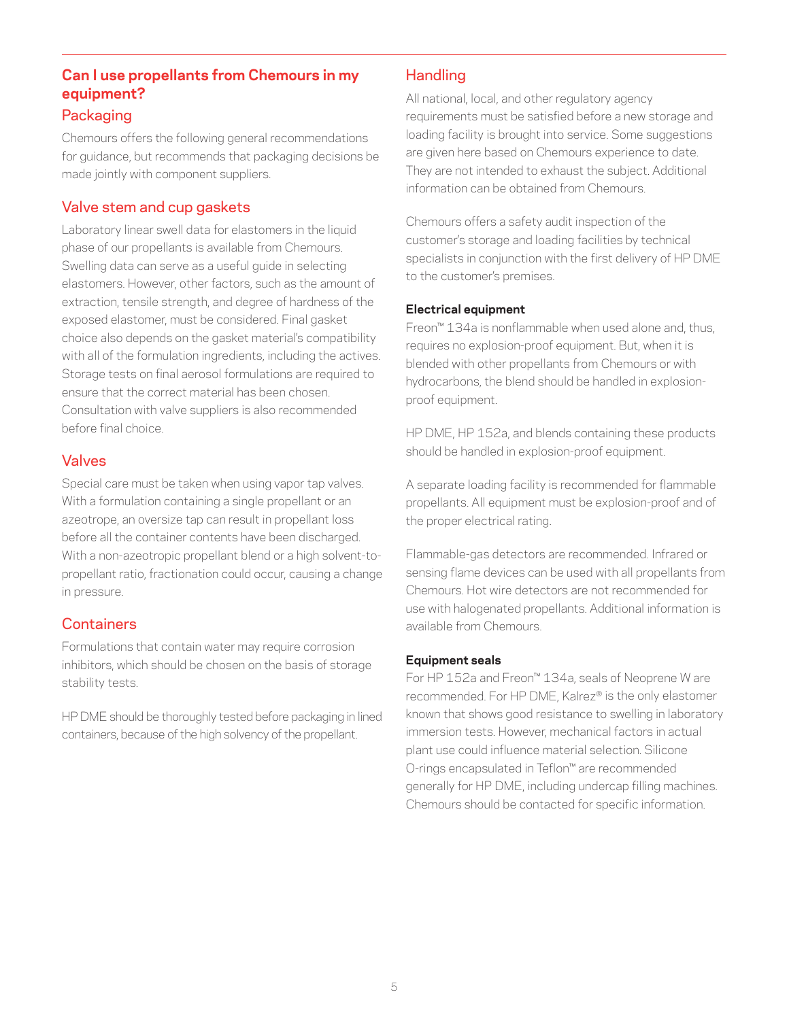## **Can I use propellants from Chemours in my equipment?**

#### Packaging

Chemours offers the following general recommendations for guidance, but recommends that packaging decisions be made jointly with component suppliers.

## Valve stem and cup gaskets

Laboratory linear swell data for elastomers in the liquid phase of our propellants is available from Chemours. Swelling data can serve as a useful guide in selecting elastomers. However, other factors, such as the amount of extraction, tensile strength, and degree of hardness of the exposed elastomer, must be considered. Final gasket choice also depends on the gasket material's compatibility with all of the formulation ingredients, including the actives. Storage tests on final aerosol formulations are required to ensure that the correct material has been chosen. Consultation with valve suppliers is also recommended before final choice.

## Valves

Special care must be taken when using vapor tap valves. With a formulation containing a single propellant or an azeotrope, an oversize tap can result in propellant loss before all the container contents have been discharged. With a non-azeotropic propellant blend or a high solvent-topropellant ratio, fractionation could occur, causing a change in pressure.

## **Containers**

Formulations that contain water may require corrosion inhibitors, which should be chosen on the basis of storage stability tests.

HP DME should be thoroughly tested before packaging in lined containers, because of the high solvency of the propellant.

## Handling

All national, local, and other regulatory agency requirements must be satisfied before a new storage and loading facility is brought into service. Some suggestions are given here based on Chemours experience to date. They are not intended to exhaust the subject. Additional information can be obtained from Chemours.

Chemours offers a safety audit inspection of the customer's storage and loading facilities by technical specialists in conjunction with the first delivery of HP DME to the customer's premises.

#### **Electrical equipment**

Freon™ 134a is nonflammable when used alone and, thus, requires no explosion-proof equipment. But, when it is blended with other propellants from Chemours or with hydrocarbons, the blend should be handled in explosionproof equipment.

HP DME, HP 152a, and blends containing these products should be handled in explosion-proof equipment.

A separate loading facility is recommended for flammable propellants. All equipment must be explosion-proof and of the proper electrical rating.

Flammable-gas detectors are recommended. Infrared or sensing flame devices can be used with all propellants from Chemours. Hot wire detectors are not recommended for use with halogenated propellants. Additional information is available from Chemours.

#### **Equipment seals**

For HP 152a and Freon™ 134a, seals of Neoprene W are recommended. For HP DME, Kalrez® is the only elastomer known that shows good resistance to swelling in laboratory immersion tests. However, mechanical factors in actual plant use could influence material selection. Silicone O-rings encapsulated in Teflon™ are recommended generally for HP DME, including undercap filling machines. Chemours should be contacted for specific information.